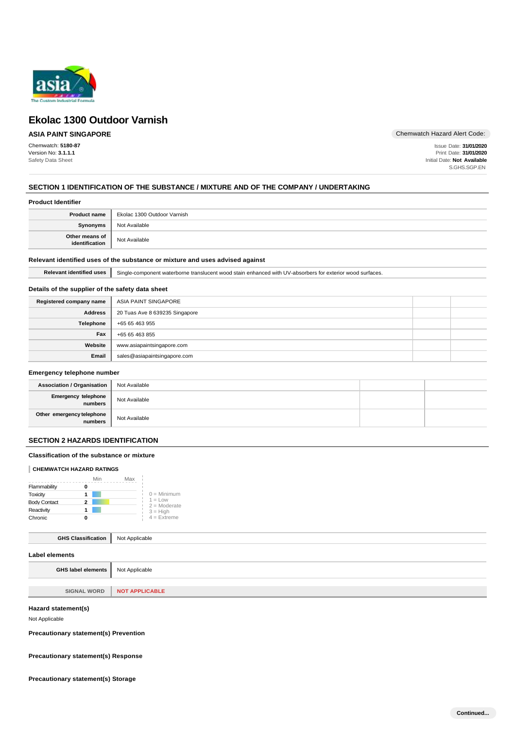

## **ASIA PAINT SINGAPORE**

Chemwatch: **5180-87** Version No: **3.1.1.1** Safety Data Sheet

Chemwatch Hazard Alert Code:

Issue Date: **31/01/2020** Print Date: **31/01/2020** Initial Date: **Not Available** S.GHS.SGP.EN

### **SECTION 1 IDENTIFICATION OF THE SUBSTANCE / MIXTURE AND OF THE COMPANY / UNDERTAKING**

| <b>Product name</b>                | Ekolac 1300 Outdoor Varnish |
|------------------------------------|-----------------------------|
| <b>Synonyms</b>                    | Not Available               |
| Other means of<br>  identification | Not Available               |

#### **Relevant identified uses of the substance or mixture and uses advised against**

Relevant identified uses Single-component waterborne translucent wood stain enhanced with UV-absorbers for exterior wood surfaces.

#### **Details of the supplier of the safety data sheet**

| Registered company name | ASIA PAINT SINGAPORE           |  |
|-------------------------|--------------------------------|--|
| <b>Address</b>          | 20 Tuas Ave 8 639235 Singapore |  |
| Telephone               | +65 65 463 955                 |  |
| Fax                     | +65 65 463 855                 |  |
| Website                 | www.asiapaintsingapore.com     |  |
| Email                   | sales@asiapaintsingapore.com   |  |

#### **Emergency telephone number**

| <b>Association / Organisation</b>      | Not Available |  |
|----------------------------------------|---------------|--|
| Emergency telephone<br>numbers         | Not Available |  |
| Other emergency telephone<br>  numbers | Not Available |  |

## **SECTION 2 HAZARDS IDENTIFICATION**

#### **Classification of the substance or mixture**

#### **CHEMWATCH HAZARD RATINGS**

|                     | Min | Max |                             |
|---------------------|-----|-----|-----------------------------|
| Flammability        | O   |     |                             |
| Toxicity            |     |     | $0 =$ Minimum               |
| <b>Body Contact</b> | 2   |     | $1 = Low$<br>$2 =$ Moderate |
| Reactivity          |     |     | $3 = High$                  |
| Chronic             | п   |     | $4$ = Extreme               |

## **GHS Classification** Not Applicable

| <b>GHS label elements</b> Not Applicable |                |
|------------------------------------------|----------------|
|                                          |                |
| <b>SIGNAL WORD</b>                       | NOT APPLICABLE |
|                                          |                |

## **Hazard statement(s)**

Not Applicable

**Precautionary statement(s) Prevention**

**Precautionary statement(s) Response**

**Precautionary statement(s) Storage**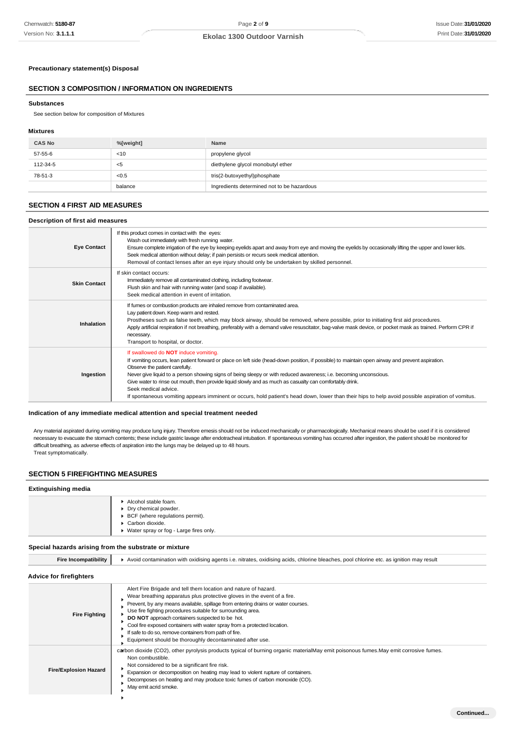**Continued...**

### **Ekolac 1300 Outdoor Varnish**

### **Precautionary statement(s) Disposal**

## **SECTION 3 COMPOSITION / INFORMATION ON INGREDIENTS**

#### **Substances**

See section below for composition of Mixtures

#### **Mixtures**

| <b>CAS No</b> | %[weight] | Name                                       |
|---------------|-----------|--------------------------------------------|
| 57-55-6       | < 10      | propylene glycol                           |
| 112-34-5      | - <5      | diethylene glycol monobutyl ether          |
| 78-51-3       | < 0.5     | tris(2-butoxyethyl)phosphate               |
|               | balance   | Ingredients determined not to be hazardous |

## **SECTION 4 FIRST AID MEASURES**

#### **Description of first aid measures**

| <b>Eye Contact</b>  | If this product comes in contact with the eyes:<br>Wash out immediately with fresh running water.<br>Ensure complete irrigation of the eye by keeping eyelids apart and away from eye and moving the eyelids by occasionally lifting the upper and lower lids.<br>Seek medical attention without delay; if pain persists or recurs seek medical attention.<br>Removal of contact lenses after an eye injury should only be undertaken by skilled personnel.                                                                                                                                                                                     |
|---------------------|-------------------------------------------------------------------------------------------------------------------------------------------------------------------------------------------------------------------------------------------------------------------------------------------------------------------------------------------------------------------------------------------------------------------------------------------------------------------------------------------------------------------------------------------------------------------------------------------------------------------------------------------------|
| <b>Skin Contact</b> | If skin contact occurs:<br>Immediately remove all contaminated clothing, including footwear.<br>Flush skin and hair with running water (and soap if available).<br>Seek medical attention in event of irritation.                                                                                                                                                                                                                                                                                                                                                                                                                               |
| Inhalation          | If fumes or combustion products are inhaled remove from contaminated area.<br>Lay patient down. Keep warm and rested.<br>Prostheses such as false teeth, which may block airway, should be removed, where possible, prior to initiating first aid procedures.<br>Apply artificial respiration if not breathing, preferably with a demand valve resuscitator, bag-valve mask device, or pocket mask as trained. Perform CPR if<br>necessary.<br>Transport to hospital, or doctor.                                                                                                                                                                |
| Ingestion           | If swallowed do <b>NOT</b> induce vomiting.<br>If vomiting occurs, lean patient forward or place on left side (head-down position, if possible) to maintain open airway and prevent aspiration.<br>Observe the patient carefully.<br>Never give liquid to a person showing signs of being sleepy or with reduced awareness; i.e. becoming unconscious.<br>Give water to rinse out mouth, then provide liquid slowly and as much as casualty can comfortably drink.<br>Seek medical advice.<br>If spontaneous vomiting appears imminent or occurs, hold patient's head down, lower than their hips to help avoid possible aspiration of vomitus. |

#### **Indication of any immediate medical attention and special treatment needed**

Any material aspirated during vomiting may produce lung injury. Therefore emesis should not be induced mechanically or pharmacologically. Mechanical means should be used if it is considered necessary to evacuate the stomach contents; these include gastric lavage after endotracheal intubation. If spontaneous vomiting has occurred after ingestion, the patient should be monitored for difficult breathing, as adverse effects of aspiration into the lungs may be delayed up to 48 hours. Treat symptomatically.

#### **SECTION 5 FIREFIGHTING MEASURES**

#### **Extinguishing media**

| Alcohol stable foam.<br>▶ Dry chemical powder.<br>▶ BCF (where regulations permit).<br>Carbon dioxide.<br>▶ Water spray or fog - Large fires only. |
|----------------------------------------------------------------------------------------------------------------------------------------------------|
|----------------------------------------------------------------------------------------------------------------------------------------------------|

### **Special hazards arising from the substrate or mixture**

| <b>Fire Incompatibility</b>    | Avoid contamination with oxidising agents i.e. nitrates, oxidising acids, chlorine bleaches, pool chlorine etc. as ignition may result |  |
|--------------------------------|----------------------------------------------------------------------------------------------------------------------------------------|--|
| <b>Advice for firefighters</b> |                                                                                                                                        |  |

| <b>Fire Fighting</b>         | Alert Fire Brigade and tell them location and nature of hazard.<br>Wear breathing apparatus plus protective gloves in the event of a fire.<br>Prevent, by any means available, spillage from entering drains or water courses.<br>Use fire fighting procedures suitable for surrounding area.<br>DO NOT approach containers suspected to be hot.<br>Cool fire exposed containers with water spray from a protected location.<br>If safe to do so, remove containers from path of fire.<br>Equipment should be thoroughly decontaminated after use. |
|------------------------------|----------------------------------------------------------------------------------------------------------------------------------------------------------------------------------------------------------------------------------------------------------------------------------------------------------------------------------------------------------------------------------------------------------------------------------------------------------------------------------------------------------------------------------------------------|
| <b>Fire/Explosion Hazard</b> | carbon dioxide (CO2), other pyrolysis products typical of burning organic materialMay emit poisonous fumes. May emit corrosive fumes.<br>Non combustible.<br>Not considered to be a significant fire risk.<br>Expansion or decomposition on heating may lead to violent rupture of containers.<br>Decomposes on heating and may produce toxic fumes of carbon monoxide (CO).<br>May emit acrid smoke.                                                                                                                                              |
|                              |                                                                                                                                                                                                                                                                                                                                                                                                                                                                                                                                                    |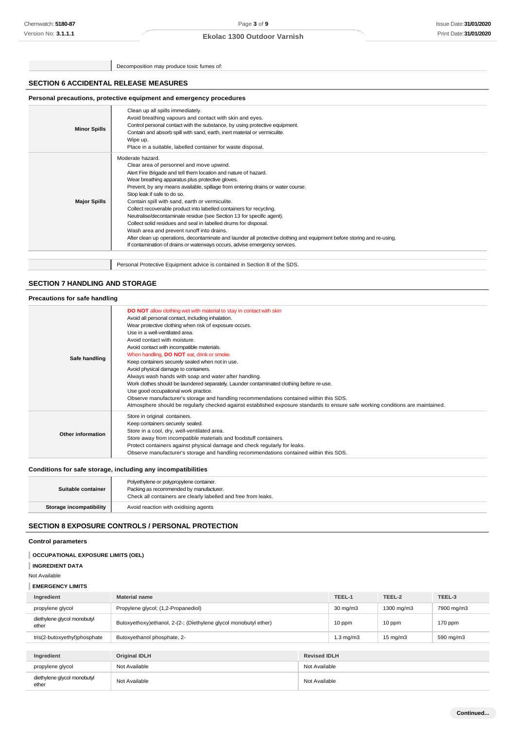Decomposition may produce toxic fumes of:

### **SECTION 6 ACCIDENTAL RELEASE MEASURES**

## **Personal precautions, protective equipment and emergency procedures**

| <b>Minor Spills</b> | Clean up all spills immediately.<br>Avoid breathing vapours and contact with skin and eyes.<br>Control personal contact with the substance, by using protective equipment.<br>Contain and absorb spill with sand, earth, inert material or vermiculite.<br>Wipe up.<br>Place in a suitable, labelled container for waste disposal.                                                                                                                                                                                                                                                                                                                                                                                                                                                                                               |
|---------------------|----------------------------------------------------------------------------------------------------------------------------------------------------------------------------------------------------------------------------------------------------------------------------------------------------------------------------------------------------------------------------------------------------------------------------------------------------------------------------------------------------------------------------------------------------------------------------------------------------------------------------------------------------------------------------------------------------------------------------------------------------------------------------------------------------------------------------------|
| <b>Major Spills</b> | Moderate hazard.<br>Clear area of personnel and move upwind.<br>Alert Fire Brigade and tell them location and nature of hazard.<br>Wear breathing apparatus plus protective gloves.<br>Prevent, by any means available, spillage from entering drains or water course.<br>Stop leak if safe to do so.<br>Contain spill with sand, earth or vermiculite.<br>Collect recoverable product into labelled containers for recycling.<br>Neutralise/decontaminate residue (see Section 13 for specific agent).<br>Collect solid residues and seal in labelled drums for disposal.<br>Wash area and prevent runoff into drains.<br>After clean up operations, decontaminate and launder all protective clothing and equipment before storing and re-using.<br>If contamination of drains or waterways occurs, advise emergency services. |
|                     | Personal Protective Equipment advice is contained in Section 8 of the SDS.                                                                                                                                                                                                                                                                                                                                                                                                                                                                                                                                                                                                                                                                                                                                                       |

## **SECTION 7 HANDLING AND STORAGE**

| Precautions for safe handling |                                                                                                                                                                                                                                                                                                                                                                                                                                                                                                                                                                                                                                                                                                                                                                                                                                                                                 |
|-------------------------------|---------------------------------------------------------------------------------------------------------------------------------------------------------------------------------------------------------------------------------------------------------------------------------------------------------------------------------------------------------------------------------------------------------------------------------------------------------------------------------------------------------------------------------------------------------------------------------------------------------------------------------------------------------------------------------------------------------------------------------------------------------------------------------------------------------------------------------------------------------------------------------|
| Safe handling                 | DO NOT allow clothing wet with material to stay in contact with skin<br>Avoid all personal contact, including inhalation.<br>Wear protective clothing when risk of exposure occurs.<br>Use in a well-ventilated area.<br>Avoid contact with moisture.<br>Avoid contact with incompatible materials.<br>When handling, <b>DO NOT</b> eat, drink or smoke.<br>Keep containers securely sealed when not in use.<br>Avoid physical damage to containers.<br>Always wash hands with soap and water after handling.<br>Work clothes should be laundered separately. Launder contaminated clothing before re-use.<br>Use good occupational work practice.<br>Observe manufacturer's storage and handling recommendations contained within this SDS.<br>Atmosphere should be regularly checked against established exposure standards to ensure safe working conditions are maintained. |
| Other information             | Store in original containers.<br>Keep containers securely sealed.<br>Store in a cool, dry, well-ventilated area.<br>Store away from incompatible materials and foodstuff containers.<br>Protect containers against physical damage and check regularly for leaks.<br>Observe manufacturer's storage and handling recommendations contained within this SDS.                                                                                                                                                                                                                                                                                                                                                                                                                                                                                                                     |

## **Conditions for safe storage, including any incompatibilities**

| Suitable container             | Polyethylene or polypropylene container.<br>Packing as recommended by manufacturer.<br>Check all containers are clearly labelled and free from leaks. |
|--------------------------------|-------------------------------------------------------------------------------------------------------------------------------------------------------|
| <b>Storage incompatibility</b> | Avoid reaction with oxidising agents                                                                                                                  |

## **SECTION 8 EXPOSURE CONTROLS / PERSONAL PROTECTION**

### **Control parameters**

| <b>OCCUPATIONAL EXPOSURE LIMITS (OEL)</b>                              |                                                                                                   |                     |        |        |        |
|------------------------------------------------------------------------|---------------------------------------------------------------------------------------------------|---------------------|--------|--------|--------|
| <b>INGREDIENT DATA</b>                                                 |                                                                                                   |                     |        |        |        |
| Not Available                                                          |                                                                                                   |                     |        |        |        |
| <b>EMERGENCY LIMITS</b>                                                |                                                                                                   |                     |        |        |        |
| Ingredient                                                             | <b>Material name</b>                                                                              |                     | TEEL-1 | TEEL-2 | TEEL-3 |
| propylene glycol                                                       | Propylene glycol; (1,2-Propanediol)<br>$30 \text{ mg/m}$<br>1300 mg/m3<br>7900 mg/m3              |                     |        |        |        |
| diethylene glycol monobutyl<br>ether                                   | Butoxyethoxy)ethanol, 2-(2-; (Diethylene glycol monobutyl ether)<br>10 ppm<br>10 ppm<br>$170$ ppm |                     |        |        |        |
| tris(2-butoxyethyl)phosphate                                           | $1.3 \text{ mg/m}$<br>Butoxyethanol phosphate, 2-<br>$15 \text{ mg/m}$<br>590 mg/m3               |                     |        |        |        |
|                                                                        |                                                                                                   |                     |        |        |        |
| Ingredient                                                             | <b>Original IDLH</b>                                                                              | <b>Revised IDLH</b> |        |        |        |
| propylene glycol                                                       | Not Available                                                                                     | Not Available       |        |        |        |
| diethylene glycol monobutyl<br>Not Available<br>Not Available<br>ether |                                                                                                   |                     |        |        |        |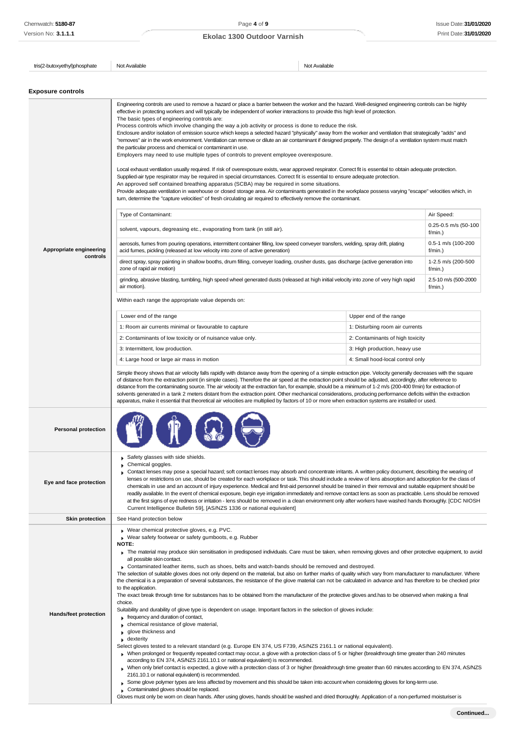$\overline{1}$ 

## **Ekolac 1300 Outdoor Varnish**

 $\overline{1}$ 

| tris(2-butoxyethyl)phosphate        | Not Available                                                                                                                                                                                                                                                                                                                                                                                                                                                                                                                                                                                                                                                                                                                                                                                                                                                                                                                                                                                                                                                                                                                                                                                                                                                                                                                                                                                                                                                                                                                                                                                                                                                                                                                                                                                                  | Not Available                                                       |                                    |
|-------------------------------------|----------------------------------------------------------------------------------------------------------------------------------------------------------------------------------------------------------------------------------------------------------------------------------------------------------------------------------------------------------------------------------------------------------------------------------------------------------------------------------------------------------------------------------------------------------------------------------------------------------------------------------------------------------------------------------------------------------------------------------------------------------------------------------------------------------------------------------------------------------------------------------------------------------------------------------------------------------------------------------------------------------------------------------------------------------------------------------------------------------------------------------------------------------------------------------------------------------------------------------------------------------------------------------------------------------------------------------------------------------------------------------------------------------------------------------------------------------------------------------------------------------------------------------------------------------------------------------------------------------------------------------------------------------------------------------------------------------------------------------------------------------------------------------------------------------------|---------------------------------------------------------------------|------------------------------------|
|                                     |                                                                                                                                                                                                                                                                                                                                                                                                                                                                                                                                                                                                                                                                                                                                                                                                                                                                                                                                                                                                                                                                                                                                                                                                                                                                                                                                                                                                                                                                                                                                                                                                                                                                                                                                                                                                                |                                                                     |                                    |
| <b>Exposure controls</b>            |                                                                                                                                                                                                                                                                                                                                                                                                                                                                                                                                                                                                                                                                                                                                                                                                                                                                                                                                                                                                                                                                                                                                                                                                                                                                                                                                                                                                                                                                                                                                                                                                                                                                                                                                                                                                                |                                                                     |                                    |
|                                     | Engineering controls are used to remove a hazard or place a barrier between the worker and the hazard. Well-designed engineering controls can be highly<br>effective in protecting workers and will typically be independent of worker interactions to provide this high level of protection.<br>The basic types of engineering controls are:<br>Process controls which involve changing the way a job activity or process is done to reduce the risk.<br>Enclosure and/or isolation of emission source which keeps a selected hazard "physically" away from the worker and ventilation that strategically "adds" and<br>"removes" air in the work environment. Ventilation can remove or dilute an air contaminant if designed properly. The design of a ventilation system must match<br>the particular process and chemical or contaminant in use.<br>Employers may need to use multiple types of controls to prevent employee overexposure.<br>Local exhaust ventilation usually required. If risk of overexposure exists, wear approved respirator. Correct fit is essential to obtain adequate protection.<br>Supplied-air type respirator may be required in special circumstances. Correct fit is essential to ensure adequate protection.<br>An approved self contained breathing apparatus (SCBA) may be required in some situations.<br>Provide adequate ventilation in warehouse or closed storage area. Air contaminants generated in the workplace possess varying "escape" velocities which, in<br>turn, determine the "capture velocities" of fresh circulating air required to effectively remove the contaminant.                                                                                                                                                                            |                                                                     |                                    |
|                                     | Type of Contaminant:                                                                                                                                                                                                                                                                                                                                                                                                                                                                                                                                                                                                                                                                                                                                                                                                                                                                                                                                                                                                                                                                                                                                                                                                                                                                                                                                                                                                                                                                                                                                                                                                                                                                                                                                                                                           |                                                                     | Air Speed:                         |
|                                     | solvent, vapours, degreasing etc., evaporating from tank (in still air).                                                                                                                                                                                                                                                                                                                                                                                                                                                                                                                                                                                                                                                                                                                                                                                                                                                                                                                                                                                                                                                                                                                                                                                                                                                                                                                                                                                                                                                                                                                                                                                                                                                                                                                                       |                                                                     | 0.25-0.5 m/s (50-100<br>f/min.     |
| Appropriate engineering<br>controls | aerosols, fumes from pouring operations, intermittent container filling, low speed conveyer transfers, welding, spray drift, plating<br>acid fumes, pickling (released at low velocity into zone of active generation)                                                                                                                                                                                                                                                                                                                                                                                                                                                                                                                                                                                                                                                                                                                                                                                                                                                                                                                                                                                                                                                                                                                                                                                                                                                                                                                                                                                                                                                                                                                                                                                         |                                                                     | 0.5-1 m/s (100-200<br>f/min.)      |
|                                     | direct spray, spray painting in shallow booths, drum filling, conveyer loading, crusher dusts, gas discharge (active generation into<br>zone of rapid air motion)                                                                                                                                                                                                                                                                                                                                                                                                                                                                                                                                                                                                                                                                                                                                                                                                                                                                                                                                                                                                                                                                                                                                                                                                                                                                                                                                                                                                                                                                                                                                                                                                                                              |                                                                     | 1-2.5 m/s (200-500<br>f/min.)      |
|                                     | grinding, abrasive blasting, tumbling, high speed wheel generated dusts (released at high initial velocity into zone of very high rapid<br>air motion).                                                                                                                                                                                                                                                                                                                                                                                                                                                                                                                                                                                                                                                                                                                                                                                                                                                                                                                                                                                                                                                                                                                                                                                                                                                                                                                                                                                                                                                                                                                                                                                                                                                        |                                                                     | 2.5-10 m/s (500-2000<br>$f/min.$ ) |
|                                     | Within each range the appropriate value depends on:                                                                                                                                                                                                                                                                                                                                                                                                                                                                                                                                                                                                                                                                                                                                                                                                                                                                                                                                                                                                                                                                                                                                                                                                                                                                                                                                                                                                                                                                                                                                                                                                                                                                                                                                                            |                                                                     |                                    |
|                                     | Lower end of the range                                                                                                                                                                                                                                                                                                                                                                                                                                                                                                                                                                                                                                                                                                                                                                                                                                                                                                                                                                                                                                                                                                                                                                                                                                                                                                                                                                                                                                                                                                                                                                                                                                                                                                                                                                                         | Upper end of the range                                              |                                    |
|                                     | 1: Room air currents minimal or favourable to capture<br>2: Contaminants of low toxicity or of nuisance value only.                                                                                                                                                                                                                                                                                                                                                                                                                                                                                                                                                                                                                                                                                                                                                                                                                                                                                                                                                                                                                                                                                                                                                                                                                                                                                                                                                                                                                                                                                                                                                                                                                                                                                            | 1: Disturbing room air currents<br>2: Contaminants of high toxicity |                                    |
|                                     | 3: Intermittent, low production.                                                                                                                                                                                                                                                                                                                                                                                                                                                                                                                                                                                                                                                                                                                                                                                                                                                                                                                                                                                                                                                                                                                                                                                                                                                                                                                                                                                                                                                                                                                                                                                                                                                                                                                                                                               | 3: High production, heavy use                                       |                                    |
|                                     | 4: Large hood or large air mass in motion                                                                                                                                                                                                                                                                                                                                                                                                                                                                                                                                                                                                                                                                                                                                                                                                                                                                                                                                                                                                                                                                                                                                                                                                                                                                                                                                                                                                                                                                                                                                                                                                                                                                                                                                                                      | 4: Small hood-local control only                                    |                                    |
|                                     | distance from the contaminating source. The air velocity at the extraction fan, for example, should be a minimum of 1-2 m/s (200-400 f/min) for extraction of<br>solvents generated in a tank 2 meters distant from the extraction point. Other mechanical considerations, producing performance deficits within the extraction<br>apparatus, make it essential that theoretical air velocities are multiplied by factors of 10 or more when extraction systems are installed or used.                                                                                                                                                                                                                                                                                                                                                                                                                                                                                                                                                                                                                                                                                                                                                                                                                                                                                                                                                                                                                                                                                                                                                                                                                                                                                                                         |                                                                     |                                    |
| <b>Personal protection</b>          |                                                                                                                                                                                                                                                                                                                                                                                                                                                                                                                                                                                                                                                                                                                                                                                                                                                                                                                                                                                                                                                                                                                                                                                                                                                                                                                                                                                                                                                                                                                                                                                                                                                                                                                                                                                                                |                                                                     |                                    |
| Eye and face protection             | Safety glasses with side shields.<br>Chemical goggles.<br>Contact lenses may pose a special hazard; soft contact lenses may absorb and concentrate irritants. A written policy document, describing the wearing of<br>lenses or restrictions on use, should be created for each workplace or task. This should include a review of lens absorption and adsorption for the class of<br>chemicals in use and an account of injury experience. Medical and first-aid personnel should be trained in their removal and suitable equipment should be<br>readily available. In the event of chemical exposure, begin eye irrigation immediately and remove contact lens as soon as practicable. Lens should be removed<br>at the first signs of eye redness or irritation - lens should be removed in a clean environment only after workers have washed hands thoroughly. [CDC NIOSH<br>Current Intelligence Bulletin 59], [AS/NZS 1336 or national equivalent]                                                                                                                                                                                                                                                                                                                                                                                                                                                                                                                                                                                                                                                                                                                                                                                                                                                     |                                                                     |                                    |
| <b>Skin protection</b>              | See Hand protection below                                                                                                                                                                                                                                                                                                                                                                                                                                                                                                                                                                                                                                                                                                                                                                                                                                                                                                                                                                                                                                                                                                                                                                                                                                                                                                                                                                                                                                                                                                                                                                                                                                                                                                                                                                                      |                                                                     |                                    |
| <b>Hands/feet protection</b>        | Wear chemical protective gloves, e.g. PVC.<br>Wear safety footwear or safety gumboots, e.g. Rubber<br>NOTE:<br>The material may produce skin sensitisation in predisposed individuals. Care must be taken, when removing gloves and other protective equipment, to avoid<br>all possible skin contact.<br>Contaminated leather items, such as shoes, belts and watch-bands should be removed and destroyed.<br>The selection of suitable gloves does not only depend on the material, but also on further marks of quality which vary from manufacturer to manufacturer. Where<br>the chemical is a preparation of several substances, the resistance of the glove material can not be calculated in advance and has therefore to be checked prior<br>to the application.<br>The exact break through time for substances has to be obtained from the manufacturer of the protective gloves and has to be observed when making a final<br>choice.<br>Suitability and durability of glove type is dependent on usage. Important factors in the selection of gloves include:<br>$\Box$ frequency and duration of contact,<br>$\triangleright$ chemical resistance of glove material,<br>glove thickness and<br>$\bullet$ dexterity<br>Select gloves tested to a relevant standard (e.g. Europe EN 374, US F739, AS/NZS 2161.1 or national equivalent).<br>When prolonged or frequently repeated contact may occur, a glove with a protection class of 5 or higher (breakthrough time greater than 240 minutes<br>according to EN 374, AS/NZS 2161.10.1 or national equivalent) is recommended.<br>When only brief contact is expected, a glove with a protection class of 3 or higher (breakthrough time greater than 60 minutes according to EN 374, AS/NZS<br>2161.10.1 or national equivalent) is recommended. |                                                                     |                                    |

Gloves must only be worn on clean hands. After using gloves, hands should be washed and dried thoroughly. Application of a non-perfumed moisturiser is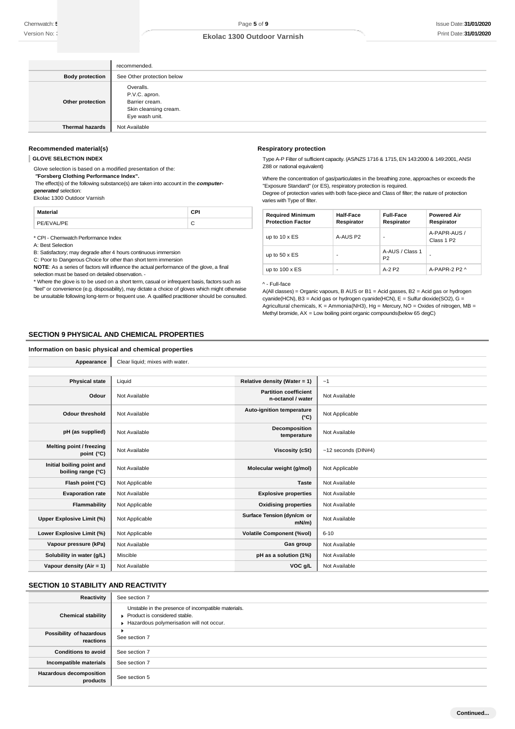|                        | recommended.                                                                            |
|------------------------|-----------------------------------------------------------------------------------------|
| <b>Body protection</b> | See Other protection below                                                              |
| Other protection       | Overalls.<br>P.V.C. apron.<br>Barrier cream.<br>Skin cleansing cream.<br>Eye wash unit. |
| <b>Thermal hazards</b> | Not Available                                                                           |

#### **Recommended material(s)**

#### **GLOVE SELECTION INDEX**

Glove selection is based on a modified presentation of the: *"***Forsberg Clothing Performance Index".**

The effect(s) of the following substance(s) are taken into account in the *computergenerated* selection:

Ekolac 1300 Outdoor Varnish

**Material CPI** PE/EVAL/PE C

\* CPI - Chemwatch Performance Index

A: Best Selection

B: Satisfactory; may degrade after 4 hours continuous immersion

C: Poor to Dangerous Choice for other than short term immersion

**NOTE**: As a series of factors will influence the actual performance of the glove, a final selection must be based on detailed observation. -

\* Where the glove is to be used on a short term, casual or infrequent basis, factors such as "feel" or convenience (e.g. disposability), may dictate a choice of gloves which might otherwise be unsuitable following long-term or frequent use. A qualified practitioner should be consulted.

#### **Respiratory protection**

Type A-P Filter of sufficient capacity. (AS/NZS 1716 & 1715, EN 143:2000 & 149:2001, ANSI Z88 or national equivalent)

Where the concentration of gas/particulates in the breathing zone, approaches or exceeds the "Exposure Standard" (or ES), respiratory protection is required. Degree of protection varies with both face-piece and Class of filter; the nature of protection

varies with Type of filter.

| <b>Required Minimum</b><br><b>Protection Factor</b> | <b>Half-Face</b><br>Respirator | <b>Full-Face</b><br>Respirator    | <b>Powered Air</b><br>Respirator       |
|-----------------------------------------------------|--------------------------------|-----------------------------------|----------------------------------------|
| up to $10 \times ES$                                | A-AUS P <sub>2</sub>           | ۰                                 | A-PAPR-AUS /<br>Class 1 P <sub>2</sub> |
| up to $50 \times ES$                                |                                | A-AUS / Class 1<br>P <sub>2</sub> |                                        |
| up to $100 \times ES$                               | -                              | $A-2$ P <sub>2</sub>              | A-PAPR-2 P2 $\land$                    |

#### ^ - Full-face

A(All classes) = Organic vapours, B AUS or B1 = Acid gasses, B2 = Acid gas or hydrogen cyanide(HCN), B3 = Acid gas or hydrogen cyanide(HCN), E = Sulfur dioxide(SO2), G = Agricultural chemicals, K = Ammonia(NH3), Hg = Mercury, NO = Oxides of nitrogen, MB = Methyl bromide, AX = Low boiling point organic compounds(below 65 degC)

#### **SECTION 9 PHYSICAL AND CHEMICAL PROPERTIES**

#### **Information on basic physical and chemical properties**

Appearance **Clear liquid**; mixes with water.

| <b>Physical state</b>                           | Liquid         | Relative density (Water = 1)                      | ~1                    |
|-------------------------------------------------|----------------|---------------------------------------------------|-----------------------|
| Odour                                           | Not Available  | <b>Partition coefficient</b><br>n-octanol / water | Not Available         |
| <b>Odour threshold</b>                          | Not Available  | Auto-ignition temperature<br>$(^{\circ}C)$        | Not Applicable        |
| pH (as supplied)                                | Not Available  | Decomposition<br>temperature                      | Not Available         |
| Melting point / freezing<br>point (°C)          | Not Available  | Viscosity (cSt)                                   | $~12$ seconds (DIN#4) |
| Initial boiling point and<br>boiling range (°C) | Not Available  | Molecular weight (g/mol)                          | Not Applicable        |
| Flash point (°C)                                | Not Applicable | <b>Taste</b>                                      | Not Available         |
| <b>Evaporation rate</b>                         | Not Available  | <b>Explosive properties</b>                       | Not Available         |
| Flammability                                    | Not Applicable | <b>Oxidising properties</b>                       | Not Available         |
| Upper Explosive Limit (%)                       | Not Applicable | Surface Tension (dyn/cm or<br>$mN/m$ )            | Not Available         |
| Lower Explosive Limit (%)                       | Not Applicable | <b>Volatile Component (%vol)</b>                  | $6 - 10$              |
| Vapour pressure (kPa)                           | Not Available  | Gas group                                         | Not Available         |
| Solubility in water (g/L)                       | Miscible       | pH as a solution (1%)                             | Not Available         |
| Vapour density $(Air = 1)$                      | Not Available  | VOC g/L                                           | Not Available         |

## **SECTION 10 STABILITY AND REACTIVITY**

| Reactivity                            | See section 7                                                                                                                    |
|---------------------------------------|----------------------------------------------------------------------------------------------------------------------------------|
| <b>Chemical stability</b>             | Unstable in the presence of incompatible materials.<br>Product is considered stable.<br>Hazardous polymerisation will not occur. |
| Possibility of hazardous<br>reactions | See section 7                                                                                                                    |
| <b>Conditions to avoid</b>            | See section 7                                                                                                                    |
| Incompatible materials                | See section 7                                                                                                                    |
| Hazardous decomposition<br>products   | See section 5                                                                                                                    |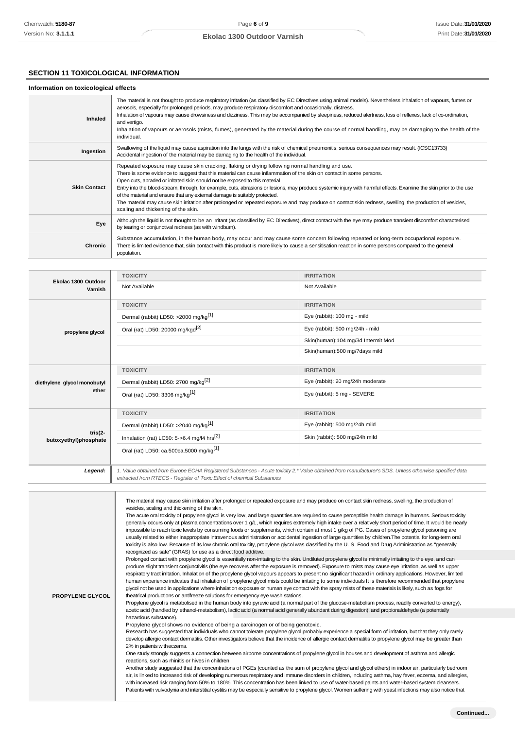### **SECTION 11 TOXICOLOGICAL INFORMATION**

#### **Information on toxicological effects Inhaled** The material is not thought to produce respiratory irritation (as classified by EC Directives using animal models). Nevertheless inhalation of vapours, fumes or aerosols, especially for prolonged periods, may produce respiratory discomfort and occasionally, distress. Inhalation of vapours may cause drowsiness and dizziness. This may be accompanied by sleepiness, reduced alertness, loss of reflexes, lack of co-ordination, and vertigo. Inhalation of vapours or aerosols (mists, fumes), generated by the material during the course of normal handling, may be damaging to the health of the individual. **Ingestion** Swallowing of the liquid may cause aspiration into the lungs with the risk of chemical pneumonitis; serious consequences may result. (ICSC13733) Accidental ingestion of the material may be damaging to the health of the individual. **Skin Contact** Repeated exposure may cause skin cracking, flaking or drying following normal handling and use. There is some evidence to suggest that this material can cause inflammation of the skin on contact in some persons. Open cuts, abraded or irritated skin should not be exposed to this material Entry into the blood-stream, through, for example, cuts, abrasions or lesions, may produce systemic injury with harmful effects. Examine the skin prior to the use of the material and ensure that any external damage is suitably protected. The material may cause skin irritation after prolonged or repeated exposure and may produce on contact skin redness, swelling, the production of vesicles, scaling and thickening of the skin. **Eye** Although the liquid is not thought to be an irritant (as classified by EC Directives), direct contact with the eye may produce transient discomfort characterised by tearing or conjunctival redness (as with windburn). **Chronic** Substance accumulation, in the human body, may occur and may cause some concern following repeated or long-term occupational exposure. There is limited evidence that, skin contact with this product is more likely to cause a sensitisation reaction in some persons compared to the general population.

| Ekolac 1300 Outdoor<br>Varnish       | <b>TOXICITY</b>                                                                                                                                       | <b>IRRITATION</b>                  |  |
|--------------------------------------|-------------------------------------------------------------------------------------------------------------------------------------------------------|------------------------------------|--|
|                                      | Not Available                                                                                                                                         | Not Available                      |  |
|                                      | <b>TOXICITY</b>                                                                                                                                       | <b>IRRITATION</b>                  |  |
|                                      | Dermal (rabbit) LD50: >2000 mg/kg <sup>[1]</sup>                                                                                                      | Eye (rabbit): 100 mg - mild        |  |
| propylene glycol                     | Oral (rat) LD50: 20000 mg/kgd <sup>[2]</sup>                                                                                                          | Eye (rabbit): 500 mg/24h - mild    |  |
|                                      |                                                                                                                                                       | Skin(human):104 mg/3d Intermit Mod |  |
|                                      |                                                                                                                                                       | Skin(human):500 mg/7days mild      |  |
|                                      |                                                                                                                                                       |                                    |  |
|                                      | <b>TOXICITY</b>                                                                                                                                       | <b>IRRITATION</b>                  |  |
| diethylene glycol monobutyl          | Dermal (rabbit) LD50: 2700 mg/kg <sup>[2]</sup>                                                                                                       | Eye (rabbit): 20 mg/24h moderate   |  |
| ether                                | Oral (rat) LD50: 3306 mg/kg <sup>[1]</sup>                                                                                                            | Eye (rabbit): 5 mg - SEVERE        |  |
|                                      |                                                                                                                                                       |                                    |  |
|                                      | <b>TOXICITY</b>                                                                                                                                       | <b>IRRITATION</b>                  |  |
| tris $(2 -$<br>butoxyethyl)phosphate | Dermal (rabbit) LD50: >2040 mg/kg <sup>[1]</sup>                                                                                                      | Eye (rabbit): 500 mg/24h mild      |  |
|                                      | Inhalation (rat) LC50: 5->6.4 mg/l4 hrs <sup>[2]</sup>                                                                                                | Skin (rabbit): 500 mg/24h mild     |  |
|                                      | Oral (rat) LD50: ca.500ca.5000 mg/kg <sup>[1]</sup>                                                                                                   |                                    |  |
|                                      |                                                                                                                                                       |                                    |  |
| Legend:                              | 1. Value obtained from Europe ECHA Registered Substances - Acute toxicity 2.* Value obtained from manufacturer's SDS. Unless otherwise specified data |                                    |  |
|                                      | extracted from RTECS - Register of Toxic Effect of chemical Substances                                                                                |                                    |  |

The material may cause skin irritation after prolonged or repeated exposure and may produce on contact skin redness, swelling, the production of vesicles, scaling and thickening of the skin. The acute oral toxicity of propylene glycol is very low, and large quantities are required to cause perceptible health damage in humans. Serious toxicity generally occurs only at plasma concentrations over 1 g/L, which requires extremely high intake over a relatively short period of time. It would be nearly impossible to reach toxic levels by consuming foods or supplements, which contain at most 1 g/kg of PG. Cases of propylene glycol poisoning are usually related to either inappropriate intravenous administration or accidental ingestion of large quantities by children.The potential for long-term oral toxicity is also low. Because of its low chronic oral toxicity, propylene glycol was classified by the U. S. Food and Drug Administration as "generally recognized as safe" (GRAS) for use as a direct food additive. Prolonged contact with propylene glycol is essentially non-irritating to the skin. Undiluted propylene glycol is minimally irritating to the eye, and can produce slight transient conjunctivitis (the eye recovers after the exposure is removed). Exposure to mists may cause eye irritation, as well as upper respiratory tract irritation. Inhalation of the propylene glycol vapours appears to present no significant hazard in ordinary applications. However, limited human experience indicates that inhalation of propylene glycol mists could be irritating to some individuals It is therefore recommended that propylene glycol not be used in applications where inhalation exposure or human eye contact with the spray mists of these materials is likely, such as fogs for theatrical productions or antifreeze solutions for emergency eye wash stations. Propylene glycol is metabolised in the human body into pyruvic acid (a normal part of the glucose-metabolism process, readily converted to energy), acetic acid (handled by ethanol-metabolism), lactic acid (a normal acid generally abundant during digestion), and propionaldehyde (a potentially hazardous substance). Propylene glycol shows no evidence of being a carcinogen or of being genotoxic. Research has suggested that individuals who cannot tolerate propylene glycol probably experience a special form of irritation, but that they only rarely develop allergic contact dermatitis. Other investigators believe that the incidence of allergic contact dermatitis to propylene glycol may be greater than 2% in patients witheczema. One study strongly suggests a connection between airborne concentrations of propylene glycol in houses and development of asthma and allergic reactions, such as rhinitis or hives in children Another study suggested that the concentrations of PGEs (counted as the sum of propylene glycol and glycol ethers) in indoor air, particularly bedroom air, is linked to increased risk of developing numerous respiratory and immune disorders in children, including asthma, hay fever, eczema, and allergies, with increased risk ranging from 50% to 180%. This concentration has been linked to use of water-based paints and water-based system cleansers. Patients with vulvodynia and interstitial cystitis may be especially sensitive to propylene glycol. Women suffering with yeast infections may also notice that **PROPYLENE GLYCOL**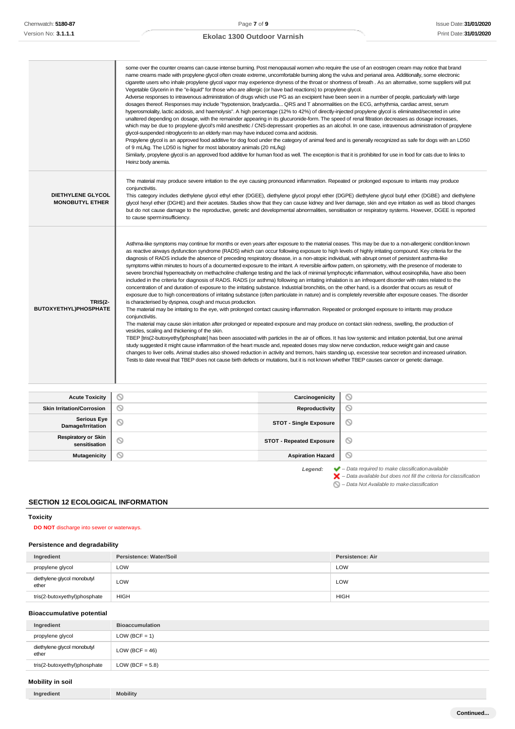|                                                    | some over the counter creams can cause intense burning. Post menopausal women who require the use of an eostrogen cream may notice that brand<br>name creams made with propylene glycol often create extreme, uncomfortable burning along the vulva and perianal area. Additionally, some electronic<br>Vegetable Glycerin in the "e-liquid" for those who are allergic (or have bad reactions) to propylene glycol.<br>Adverse responses to intravenous administration of drugs which use PG as an excipient have been seen in a number of people, particularly with large<br>dosages thereof. Responses may include "hypotension, bradycardia QRS and T abnormalities on the ECG, arrhythmia, cardiac arrest, serum<br>hyperosmolality, lactic acidosis, and haemolysis". A high percentage (12% to 42%) of directly-injected propylene glycol is eliminated/secreted in urine<br>unaltered depending on dosage, with the remainder appearing in its glucuronide-form. The speed of renal filtration decreases as dosage increases,<br>glycol-suspended nitroglycerin to an elderly man may have induced coma and acidosis.<br>of 9 mL/kg. The LD50 is higher for most laboratory animals (20 mL/kg)<br>Similarly, propylene glycol is an approved food additive for human food as well. The exception is that it is prohibited for use in food for cats due to links to<br>Heinz body anemia.                                                                                                                                                                                                                                                                                                                                                                                                                                                                                                                                                                                                                                                                                                                                                                                                                                                                                                                                                |                 | cigarette users who inhale propylene glycol vapor may experience dryness of the throat or shortness of breath. As an alternative, some suppliers will put<br>which may be due to propylene glycol's mild anesthetic / CNS-depressant -properties as an alcohol. In one case, intravenous administration of propylene<br>Propylene glycol is an approved food additive for dog food under the category of animal feed and is generally recognized as safe for dogs with an LD50 |  |
|----------------------------------------------------|-------------------------------------------------------------------------------------------------------------------------------------------------------------------------------------------------------------------------------------------------------------------------------------------------------------------------------------------------------------------------------------------------------------------------------------------------------------------------------------------------------------------------------------------------------------------------------------------------------------------------------------------------------------------------------------------------------------------------------------------------------------------------------------------------------------------------------------------------------------------------------------------------------------------------------------------------------------------------------------------------------------------------------------------------------------------------------------------------------------------------------------------------------------------------------------------------------------------------------------------------------------------------------------------------------------------------------------------------------------------------------------------------------------------------------------------------------------------------------------------------------------------------------------------------------------------------------------------------------------------------------------------------------------------------------------------------------------------------------------------------------------------------------------------------------------------------------------------------------------------------------------------------------------------------------------------------------------------------------------------------------------------------------------------------------------------------------------------------------------------------------------------------------------------------------------------------------------------------------------------------------------------------------------------------------------------------------------------------|-----------------|--------------------------------------------------------------------------------------------------------------------------------------------------------------------------------------------------------------------------------------------------------------------------------------------------------------------------------------------------------------------------------------------------------------------------------------------------------------------------------|--|
| <b>DIETHYLENE GLYCOL</b><br><b>MONOBUTYL ETHER</b> | The material may produce severe irritation to the eye causing pronounced inflammation. Repeated or prolonged exposure to irritants may produce<br>conjunctivitis.<br>to cause sperm insufficiency.                                                                                                                                                                                                                                                                                                                                                                                                                                                                                                                                                                                                                                                                                                                                                                                                                                                                                                                                                                                                                                                                                                                                                                                                                                                                                                                                                                                                                                                                                                                                                                                                                                                                                                                                                                                                                                                                                                                                                                                                                                                                                                                                              |                 | This category includes diethylene glycol ethyl ether (DGEE), diethylene glycol propyl ether (DGPE) diethylene glycol butyl ether (DGBE) and diethylene<br>glycol hexyl ether (DGHE) and their acetates. Studies show that they can cause kidney and liver damage, skin and eye irritation as well as blood changes<br>but do not cause damage to the reproductive, genetic and developmental abnormalities, sensitisation or respiratory systems. However, DGEE is reported    |  |
| <b>TRIS(2-</b><br>BUTOXYETHYL)PHOSPHATE            | Asthma-like symptoms may continue for months or even years after exposure to the material ceases. This may be due to a non-allergenic condition known<br>as reactive airways dysfunction syndrome (RADS) which can occur following exposure to high levels of highly irritating compound. Key criteria for the<br>diagnosis of RADS include the absence of preceding respiratory disease, in a non-atopic individual, with abrupt onset of persistent asthma-like<br>symptoms within minutes to hours of a documented exposure to the irritant. A reversible airflow pattern, on spirometry, with the presence of moderate to<br>severe bronchial hyperreactivity on methacholine challenge testing and the lack of minimal lymphocytic inflammation, without eosinophilia, have also been<br>included in the criteria for diagnosis of RADS. RADS (or asthma) following an irritating inhalation is an infrequent disorder with rates related to the<br>concentration of and duration of exposure to the irritating substance. Industrial bronchitis, on the other hand, is a disorder that occurs as result of<br>exposure due to high concentrations of irritating substance (often particulate in nature) and is completely reversible after exposure ceases. The disorder<br>is characterised by dyspnea, cough and mucus production.<br>The material may be irritating to the eye, with prolonged contact causing inflammation. Repeated or prolonged exposure to irritants may produce<br>conjunctivitis.<br>The material may cause skin irritation after prolonged or repeated exposure and may produce on contact skin redness, swelling, the production of<br>vesicles, scaling and thickening of the skin.<br>TBEP [tris(2-butoxyethyl)phosphate] has been associated with particles in the air of offices. It has low systemic and irritation potential, but one animal<br>study suggested it might cause inflammation of the heart muscle and, repeated doses may slow nerve conduction, reduce weight gain and cause<br>changes to liver cells. Animal studies also showed reduction in activity and tremors, hairs standing up, excessive tear secretion and increased urination.<br>Tests to date reveal that TBEP does not cause birth defects or mutations, but it is not known whether TBEP causes cancer or genetic damage. |                 |                                                                                                                                                                                                                                                                                                                                                                                                                                                                                |  |
| <b>Acute Toxicity</b>                              | ⊚                                                                                                                                                                                                                                                                                                                                                                                                                                                                                                                                                                                                                                                                                                                                                                                                                                                                                                                                                                                                                                                                                                                                                                                                                                                                                                                                                                                                                                                                                                                                                                                                                                                                                                                                                                                                                                                                                                                                                                                                                                                                                                                                                                                                                                                                                                                                               | Carcinogenicity | O                                                                                                                                                                                                                                                                                                                                                                                                                                                                              |  |
| <b>Skin Irritation/Corrosion</b>                   | ⊚                                                                                                                                                                                                                                                                                                                                                                                                                                                                                                                                                                                                                                                                                                                                                                                                                                                                                                                                                                                                                                                                                                                                                                                                                                                                                                                                                                                                                                                                                                                                                                                                                                                                                                                                                                                                                                                                                                                                                                                                                                                                                                                                                                                                                                                                                                                                               | Reproductivity  | O                                                                                                                                                                                                                                                                                                                                                                                                                                                                              |  |
|                                                    |                                                                                                                                                                                                                                                                                                                                                                                                                                                                                                                                                                                                                                                                                                                                                                                                                                                                                                                                                                                                                                                                                                                                                                                                                                                                                                                                                                                                                                                                                                                                                                                                                                                                                                                                                                                                                                                                                                                                                                                                                                                                                                                                                                                                                                                                                                                                                 |                 |                                                                                                                                                                                                                                                                                                                                                                                                                                                                                |  |

| Serious Eye<br>  Damage/Irritation          | <b>STOT - Single Exposure</b>   | $\circ$                                                                |
|---------------------------------------------|---------------------------------|------------------------------------------------------------------------|
| <b>Respiratory or Skin</b><br>sensitisation | <b>STOT - Repeated Exposure</b> | $\circ$                                                                |
| <b>Mutagenicity</b>                         | <b>Aspiration Hazard</b>        | $\circ$                                                                |
|                                             | Legend:                         | $\blacktriangleright$ - Data required to make classification available |

**SECTION 12 ECOLOGICAL INFORMATION**

## <span id="page-6-0"></span>**Toxicity**

### **DO NOT** discharge into sewer or waterways.

## **Persistence and degradability**

| Ingredient                           | Persistence: Water/Soil | Persistence: Air |
|--------------------------------------|-------------------------|------------------|
| propylene glycol                     | LOW                     | LOW              |
| diethylene glycol monobutyl<br>ether | LOW                     | LOW              |
| tris(2-butoxyethyl)phosphate         | <b>HIGH</b>             | <b>HIGH</b>      |

## **Bioaccumulative potential**

| Ingredient                           | <b>Bioaccumulation</b> |
|--------------------------------------|------------------------|
| propylene glycol                     | $LOW (BCF = 1)$        |
| diethylene glycol monobutyl<br>ether | LOW (BCF = $46$ )      |
| tris(2-butoxyethyl)phosphate         | LOW (BCF = $5.8$ )     |

### **Mobility in soil**

| <b>Mobility</b><br>Ingredient |  |  |  |
|-------------------------------|--|--|--|
|                               |  |  |  |

*– Data available but does not fill the criteria for classification*

*– Data Not Available to makeclassification*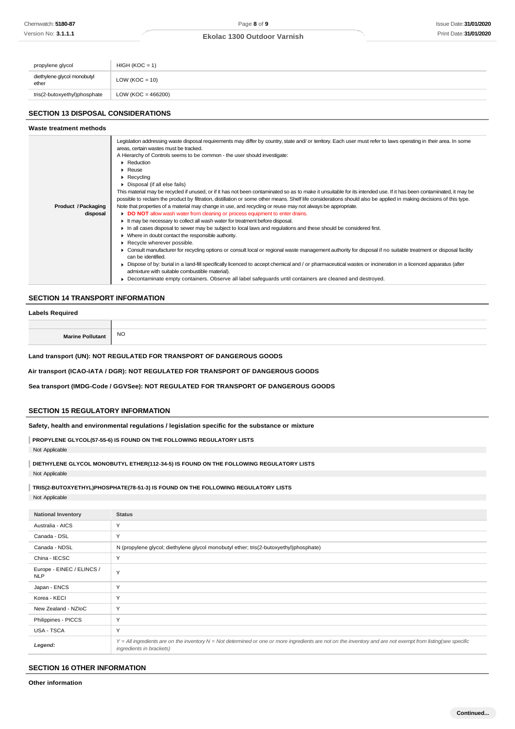| propylene glycol                     | $HIGH (KOC = 1)$     |
|--------------------------------------|----------------------|
| diethylene glycol monobutyl<br>ether | LOW ( $KOC = 10$ )   |
| tris(2-butoxyethyl)phosphate         | $LOW (KOC = 466200)$ |

## **SECTION 13 DISPOSAL CONSIDERATIONS**

#### **Waste treatment methods**

|                            | Legislation addressing waste disposal requirements may differ by country, state and/ or territory. Each user must refer to laws operating in their area. In some     |
|----------------------------|----------------------------------------------------------------------------------------------------------------------------------------------------------------------|
|                            | areas, certain wastes must be tracked.                                                                                                                               |
|                            | A Hierarchy of Controls seems to be common - the user should investigate:                                                                                            |
|                            | Reduction                                                                                                                                                            |
|                            | $\blacktriangleright$ Reuse                                                                                                                                          |
|                            | $\blacktriangleright$ Recycling                                                                                                                                      |
|                            | • Disposal (if all else fails)                                                                                                                                       |
|                            | This material may be recycled if unused, or if it has not been contaminated so as to make it unsuitable for its intended use. If it has been contaminated, it may be |
|                            | possible to reclaim the product by filtration, distillation or some other means. Shelf life considerations should also be applied in making decisions of this type.  |
| <b>Product / Packaging</b> | Note that properties of a material may change in use, and recycling or reuse may not always be appropriate.                                                          |
| disposal                   | DO NOT allow wash water from cleaning or process equipment to enter drains.                                                                                          |
|                            | It may be necessary to collect all wash water for treatment before disposal.                                                                                         |
|                            | In all cases disposal to sewer may be subject to local laws and requlations and these should be considered first.                                                    |
|                            | • Where in doubt contact the responsible authority.                                                                                                                  |
|                            | Recycle wherever possible.                                                                                                                                           |
|                            | • Consult manufacturer for recycling options or consult local or regional waste management authority for disposal if no suitable treatment or disposal facility      |
|                            | can be identified.                                                                                                                                                   |
|                            | ► Dispose of by: burial in a land-fill specifically licenced to accept chemical and / or pharmaceutical wastes or incineration in a licenced apparatus (after        |
|                            | admixture with suitable combustible material).                                                                                                                       |
|                            | ▶ Decontaminate empty containers. Observe all label safeguards until containers are cleaned and destroyed.                                                           |

## **SECTION 14 TRANSPORT INFORMATION**

#### **Labels Required**

| <b>Marine Poll</b> | NO <sub>1</sub> |
|--------------------|-----------------|

**Land transport (UN): NOT REGULATED FOR TRANSPORT OF DANGEROUS GOODS**

**Air transport (ICAO-IATA / DGR): NOT REGULATED FOR TRANSPORT OF DANGEROUS GOODS**

**Sea transport (IMDG-Code / GGVSee): NOT REGULATED FOR TRANSPORT OF DANGEROUS GOODS**

### **SECTION 15 REGULATORY INFORMATION**

#### **Safety, health and environmental regulations / legislation specific for the substance or mixture**

**PROPYLENE GLYCOL(57-55-6) IS FOUND ON THE FOLLOWING REGULATORY LISTS**

Not Applicable

**DIETHYLENE GLYCOL MONOBUTYL ETHER(112-34-5) IS FOUND ON THE FOLLOWING REGULATORY LISTS**

Not Applicable

**TRIS(2-BUTOXYETHYL)PHOSPHATE(78-51-3) IS FOUND ON THE FOLLOWING REGULATORY LISTS** Not Applicable

| <b>National Inventory</b>               | <b>Status</b>                                                                                                                                                                            |
|-----------------------------------------|------------------------------------------------------------------------------------------------------------------------------------------------------------------------------------------|
| Australia - AICS                        | Y                                                                                                                                                                                        |
| Canada - DSL                            | Y                                                                                                                                                                                        |
| Canada - NDSL                           | N (propylene glycol; diethylene glycol monobutyl ether; tris(2-butoxyethyl)phosphate)                                                                                                    |
| China - IECSC                           | Y                                                                                                                                                                                        |
| Europe - EINEC / ELINCS /<br><b>NLP</b> | Y                                                                                                                                                                                        |
| Japan - ENCS                            | Y                                                                                                                                                                                        |
| Korea - KECI                            | Y                                                                                                                                                                                        |
| New Zealand - NZIoC                     | Y                                                                                                                                                                                        |
| Philippines - PICCS                     | Y                                                                                                                                                                                        |
| USA - TSCA                              | Y                                                                                                                                                                                        |
| Legend:                                 | Y = All ingredients are on the inventory N = Not determined or one or more ingredients are not on the inventory and are not exempt from listing(see specific<br>ingredients in brackets) |

### **SECTION 16 OTHER INFORMATION**

**Other information**